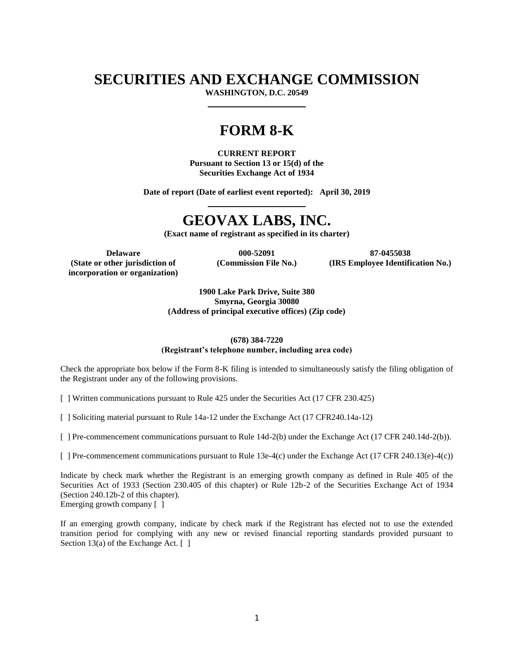# **SECURITIES AND EXCHANGE COMMISSION**

**WASHINGTON, D.C. 20549**

# **FORM 8-K**

**CURRENT REPORT Pursuant to Section 13 or 15(d) of the Securities Exchange Act of 1934**

**Date of report (Date of earliest event reported): April 30, 2019**

# **GEOVAX LABS, INC.**

**(Exact name of registrant as specified in its charter)**

**(State or other jurisdiction of**

**incorporation or organization)**

**Delaware 000-52091 87-0455038 (Commission File No.)**

**(IRS Employee Identification No.)**

**1900 Lake Park Drive, Suite 380 Smyrna, Georgia 30080 (Address of principal executive offices) (Zip code)**

#### **(678) 384-7220 (Registrant's telephone number, including area code)**

Check the appropriate box below if the Form 8-K filing is intended to simultaneously satisfy the filing obligation of the Registrant under any of the following provisions.

[ ] Written communications pursuant to Rule 425 under the Securities Act (17 CFR 230.425)

[ ] Soliciting material pursuant to Rule 14a-12 under the Exchange Act (17 CFR240.14a-12)

[ ] Pre-commencement communications pursuant to Rule 14d-2(b) under the Exchange Act (17 CFR 240.14d-2(b)).

[ ] Pre-commencement communications pursuant to Rule 13e-4(c) under the Exchange Act (17 CFR 240.13(e)-4(c))

Indicate by check mark whether the Registrant is an emerging growth company as defined in Rule 405 of the Securities Act of 1933 (Section 230.405 of this chapter) or Rule 12b-2 of the Securities Exchange Act of 1934 (Section 240.12b-2 of this chapter). Emerging growth company [ ]

If an emerging growth company, indicate by check mark if the Registrant has elected not to use the extended transition period for complying with any new or revised financial reporting standards provided pursuant to Section 13(a) of the Exchange Act. [ ]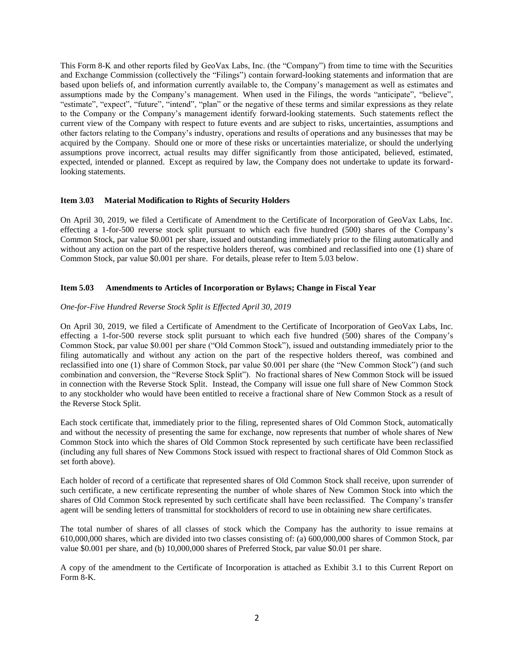This Form 8-K and other reports filed by GeoVax Labs, Inc. (the "Company") from time to time with the Securities and Exchange Commission (collectively the "Filings") contain forward-looking statements and information that are based upon beliefs of, and information currently available to, the Company's management as well as estimates and assumptions made by the Company's management. When used in the Filings, the words "anticipate", "believe", "estimate", "expect", "future", "intend", "plan" or the negative of these terms and similar expressions as they relate to the Company or the Company's management identify forward-looking statements. Such statements reflect the current view of the Company with respect to future events and are subject to risks, uncertainties, assumptions and other factors relating to the Company's industry, operations and results of operations and any businesses that may be acquired by the Company. Should one or more of these risks or uncertainties materialize, or should the underlying assumptions prove incorrect, actual results may differ significantly from those anticipated, believed, estimated, expected, intended or planned. Except as required by law, the Company does not undertake to update its forwardlooking statements.

### **Item 3.03 Material Modification to Rights of Security Holders**

On April 30, 2019, we filed a Certificate of Amendment to the Certificate of Incorporation of GeoVax Labs, Inc. effecting a 1-for-500 reverse stock split pursuant to which each five hundred (500) shares of the Company's Common Stock, par value \$0.001 per share, issued and outstanding immediately prior to the filing automatically and without any action on the part of the respective holders thereof, was combined and reclassified into one (1) share of Common Stock, par value \$0.001 per share. For details, please refer to Item 5.03 below.

#### **Item 5.03 Amendments to Articles of Incorporation or Bylaws; Change in Fiscal Year**

### *One-for-Five Hundred Reverse Stock Split is Effected April 30, 2019*

On April 30, 2019, we filed a Certificate of Amendment to the Certificate of Incorporation of GeoVax Labs, Inc. effecting a 1-for-500 reverse stock split pursuant to which each five hundred (500) shares of the Company's Common Stock, par value \$0.001 per share ("Old Common Stock"), issued and outstanding immediately prior to the filing automatically and without any action on the part of the respective holders thereof, was combined and reclassified into one (1) share of Common Stock, par value \$0.001 per share (the "New Common Stock") (and such combination and conversion, the "Reverse Stock Split"). No fractional shares of New Common Stock will be issued in connection with the Reverse Stock Split. Instead, the Company will issue one full share of New Common Stock to any stockholder who would have been entitled to receive a fractional share of New Common Stock as a result of the Reverse Stock Split.

Each stock certificate that, immediately prior to the filing, represented shares of Old Common Stock, automatically and without the necessity of presenting the same for exchange, now represents that number of whole shares of New Common Stock into which the shares of Old Common Stock represented by such certificate have been reclassified (including any full shares of New Commons Stock issued with respect to fractional shares of Old Common Stock as set forth above).

Each holder of record of a certificate that represented shares of Old Common Stock shall receive, upon surrender of such certificate, a new certificate representing the number of whole shares of New Common Stock into which the shares of Old Common Stock represented by such certificate shall have been reclassified. The Company's transfer agent will be sending letters of transmittal for stockholders of record to use in obtaining new share certificates.

The total number of shares of all classes of stock which the Company has the authority to issue remains at 610,000,000 shares, which are divided into two classes consisting of: (a) 600,000,000 shares of Common Stock, par value \$0.001 per share, and (b) 10,000,000 shares of Preferred Stock, par value \$0.01 per share.

A copy of the amendment to the Certificate of Incorporation is attached as Exhibit 3.1 to this Current Report on Form 8-K.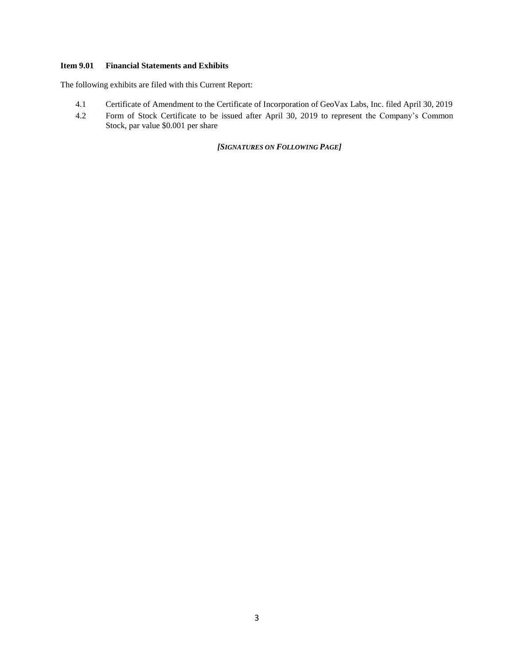## **Item 9.01 Financial Statements and Exhibits**

The following exhibits are filed with this Current Report:

- 4.1 Certificate of Amendment to the Certificate of Incorporation of GeoVax Labs, Inc. filed April 30, 2019
- 4.2 Form of Stock Certificate to be issued after April 30, 2019 to represent the Company's Common Stock, par value \$0.001 per share

*[SIGNATURES ON FOLLOWING PAGE]*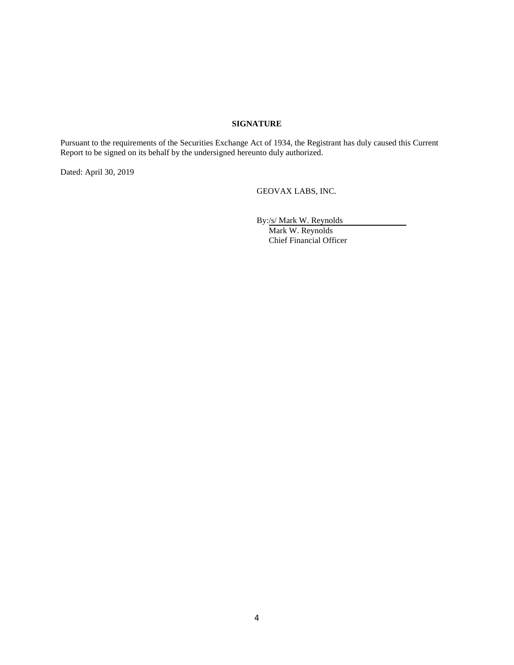### **SIGNATURE**

Pursuant to the requirements of the Securities Exchange Act of 1934, the Registrant has duly caused this Current Report to be signed on its behalf by the undersigned hereunto duly authorized.

Dated: April 30, 2019

GEOVAX LABS, INC.

By:/s/ Mark W. Reynolds Mark W. Reynolds Chief Financial Officer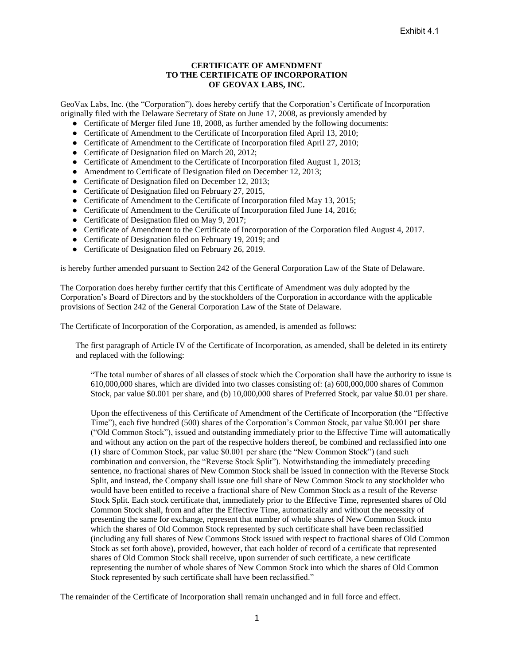## **CERTIFICATE OF AMENDMENT TO THE CERTIFICATE OF INCORPORATION OF GEOVAX LABS, INC.**

GeoVax Labs, Inc. (the "Corporation"), does hereby certify that the Corporation's Certificate of Incorporation originally filed with the Delaware Secretary of State on June 17, 2008, as previously amended by

- Certificate of Merger filed June 18, 2008, as further amended by the following documents:
- Certificate of Amendment to the Certificate of Incorporation filed April 13, 2010;
- Certificate of Amendment to the Certificate of Incorporation filed April 27, 2010;
- Certificate of Designation filed on March 20, 2012;
- Certificate of Amendment to the Certificate of Incorporation filed August 1, 2013;
- Amendment to Certificate of Designation filed on December 12, 2013;
- Certificate of Designation filed on December 12, 2013;
- Certificate of Designation filed on February 27, 2015,
- Certificate of Amendment to the Certificate of Incorporation filed May 13, 2015;
- Certificate of Amendment to the Certificate of Incorporation filed June 14, 2016;
- Certificate of Designation filed on May 9, 2017;
- Certificate of Amendment to the Certificate of Incorporation of the Corporation filed August 4, 2017.
- Certificate of Designation filed on February 19, 2019; and
- Certificate of Designation filed on February 26, 2019.

is hereby further amended pursuant to Section 242 of the General Corporation Law of the State of Delaware.

The Corporation does hereby further certify that this Certificate of Amendment was duly adopted by the Corporation's Board of Directors and by the stockholders of the Corporation in accordance with the applicable provisions of Section 242 of the General Corporation Law of the State of Delaware.

The Certificate of Incorporation of the Corporation, as amended, is amended as follows:

The first paragraph of Article IV of the Certificate of Incorporation, as amended, shall be deleted in its entirety and replaced with the following:

"The total number of shares of all classes of stock which the Corporation shall have the authority to issue is 610,000,000 shares, which are divided into two classes consisting of: (a) 600,000,000 shares of Common Stock, par value \$0.001 per share, and (b) 10,000,000 shares of Preferred Stock, par value \$0.01 per share.

Upon the effectiveness of this Certificate of Amendment of the Certificate of Incorporation (the "Effective Time"), each five hundred (500) shares of the Corporation's Common Stock, par value \$0.001 per share ("Old Common Stock"), issued and outstanding immediately prior to the Effective Time will automatically and without any action on the part of the respective holders thereof, be combined and reclassified into one (1) share of Common Stock, par value \$0.001 per share (the "New Common Stock") (and such combination and conversion, the "Reverse Stock Split"). Notwithstanding the immediately preceding sentence, no fractional shares of New Common Stock shall be issued in connection with the Reverse Stock Split, and instead, the Company shall issue one full share of New Common Stock to any stockholder who would have been entitled to receive a fractional share of New Common Stock as a result of the Reverse Stock Split. Each stock certificate that, immediately prior to the Effective Time, represented shares of Old Common Stock shall, from and after the Effective Time, automatically and without the necessity of presenting the same for exchange, represent that number of whole shares of New Common Stock into which the shares of Old Common Stock represented by such certificate shall have been reclassified (including any full shares of New Commons Stock issued with respect to fractional shares of Old Common Stock as set forth above), provided, however, that each holder of record of a certificate that represented shares of Old Common Stock shall receive, upon surrender of such certificate, a new certificate representing the number of whole shares of New Common Stock into which the shares of Old Common Stock represented by such certificate shall have been reclassified."

The remainder of the Certificate of Incorporation shall remain unchanged and in full force and effect.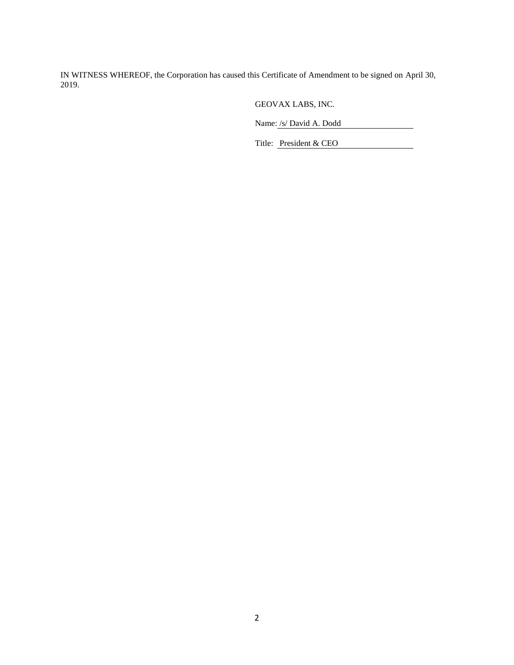IN WITNESS WHEREOF, the Corporation has caused this Certificate of Amendment to be signed on April 30, 2019.

GEOVAX LABS, INC.

Name: /s/ David A. Dodd

Title: President & CEO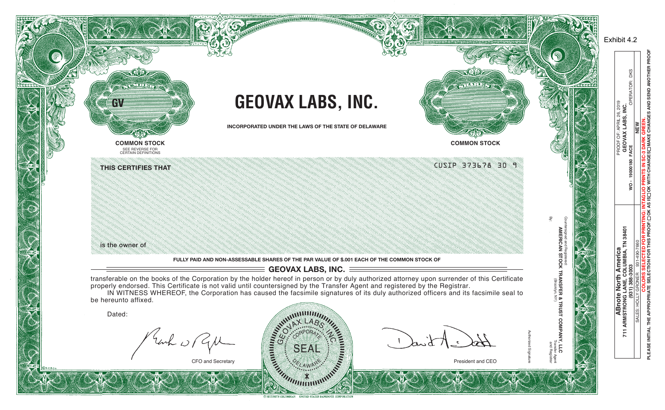